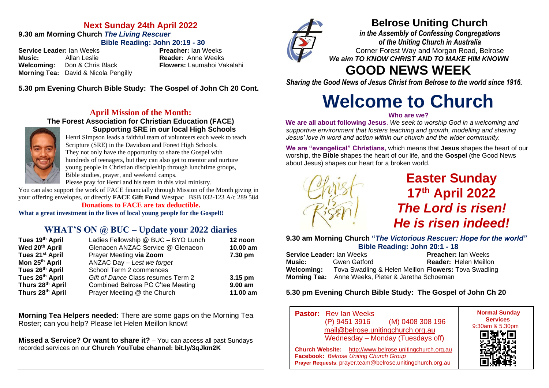## **Next Sunday 24th April 2022 9.30 am Morning Church** *The Living Rescuer* **Bible Reading: John 20:19 - 30**

**Service Leader:** Ian Weeks **Preacher:** Ian Weeks **Music:** Allan Leslie **Reader:** Anne Weeks<br> **Welcoming:** Don & Chris Black **Reader:** Laumahoi Va **Welcoming:** Don & Chris Black **Flowers:** Laumahoi Vakalahi **Morning Tea:** David & Nicola Pengilly

**5.30 pm Evening Church Bible Study: The Gospel of John Ch 20 Cont.**

# **April Mission of the Month:**

#### **The Forest Association for Christian Education (FACE) Supporting SRE in our local High Schools**



Henri Simpson leads a faithful team of volunteers each week to teach Scripture (SRE) in the Davidson and Forest High Schools. They not only have the opportunity to share the Gospel with hundreds of teenagers, but they can also get to mentor and nurture young people in Christian discipleship through lunchtime groups, Bible studies, prayer, and weekend camps.

Please pray for Henri and his team in this vital ministry.

You can also support the work of FACE financially through Mission of the Month giving in your offering envelopes, or directly **FACE Gift Fund** Westpac BSB 032-123 A/c 289 584

**Donations to FACE are tax deductible.**

**What a great investment in the lives of local young people for the Gospel!!**

# **WHAT'S ON @ BUC – Update your 2022 diaries**

| Tues 19th April             | Ladies Fellowship @ BUC - BYO Lunch | 12 noon    |
|-----------------------------|-------------------------------------|------------|
| Wed 20th April              | Glenaoen ANZAC Service @ Glenaeon   | 10.00 am   |
| Tues 21 <sup>st</sup> April | Prayer Meeting via Zoom             | 7.30 pm    |
| Mon 25 <sup>th</sup> April  | ANZAC Day - Lest we forget          |            |
| Tues 26th April             | School Term 2 commences             |            |
| Tues 26th April             | Gift of Dance Class resumes Term 2  | $3.15$ pm  |
| Thurs 28th April            | Combined Belrose PC C'tee Meeting   | $9.00 a$ m |
| Thurs 28th April            | Prayer Meeting @ the Church         | 11.00 am   |

**Morning Tea Helpers needed:** There are some gaps on the Morning Tea Roster; can you help? Please let Helen Meillon know!

**Missed a Service? Or want to share it?** – You can access all past Sundays recorded services on our **Church YouTube channel: bit.ly/3qJkm2K**



# **Belrose Uniting Church**

*in the Assembly of Confessing Congregations of the Uniting Church in Australia* Corner Forest Way and Morgan Road, Belrose *We aim TO KNOW CHRIST AND TO MAKE HIM KNOWN*

# **GOOD NEWS WEEK**

*Sharing the Good News of Jesus Christ from Belrose to the world since 1916.*

# **Welcome to Church**

#### **Who are we?**

**We are all about following Jesus**. *We seek to worship God in a welcoming and supportive environment that fosters teaching and growth, modelling and sharing Jesus' love in word and action within our church and the wider community.*

**We are "evangelical" Christians,** which means that **Jesus** shapes the heart of our worship, the **Bible** shapes the heart of our life, and the **Gospel** (the Good News about Jesus) shapes our heart for a broken world.



**Easter Sunday 17 th April 2022** *The Lord is risen! He is risen indeed!*

**9.30 am Morning Church "***The Victorious Rescuer: Hope for the world"* **Bible Reading: John 20:1 - 18**

**Service Leader:** Ian Weeks **Preacher:** Ian Weeks **Music:** Gwen Gatford **Reader:** Helen Meillon **Welcoming:** Tova Swadling & Helen Meillon **Flowers:** Tova Swadling **Morning Tea:** Anne Weeks, Pieter & Jaretha Schoeman

## **5.30 pm Evening Church Bible Study: The Gospel of John Ch 20**

**Pastor:** Rev Ian Weeks (P) 9451 3916 (M) 0408 308 196 [mail@belrose.unitingchurch.org.au](mailto:mail@belrose.unitingchurch.org.au) Wednesday – Monday (Tuesdays off) **Church Website:** [http://www.belrose.unitingchurch.org.au](http://www.belrose.unitingchurch.org.au/) **Facebook:** *Belrose Uniting Church Group* **Prayer Requests**: [prayer.team@belrose.unitingchurch.org.au](mailto:prayer.team@belrose.unitingchurch.org.au)